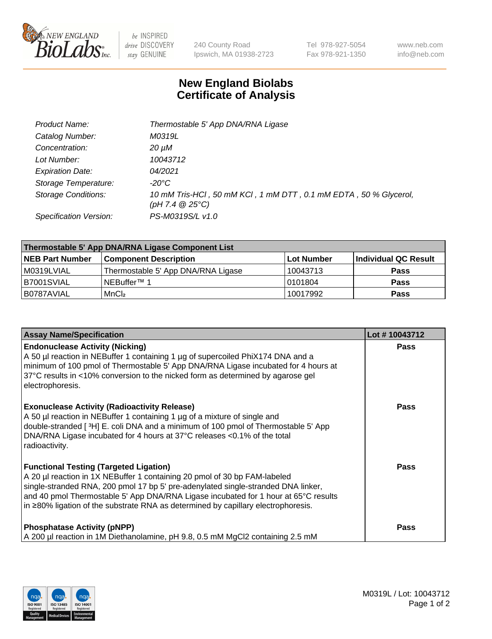

 $be$  INSPIRED drive DISCOVERY stay GENUINE

240 County Road Ipswich, MA 01938-2723 Tel 978-927-5054 Fax 978-921-1350 www.neb.com info@neb.com

## **New England Biolabs Certificate of Analysis**

| Product Name:              | Thermostable 5' App DNA/RNA Ligase                                                    |
|----------------------------|---------------------------------------------------------------------------------------|
| Catalog Number:            | M0319L                                                                                |
| Concentration:             | 20 µM                                                                                 |
| Lot Number:                | 10043712                                                                              |
| <b>Expiration Date:</b>    | 04/2021                                                                               |
| Storage Temperature:       | -20°C                                                                                 |
| <b>Storage Conditions:</b> | 10 mM Tris-HCl, 50 mM KCl, 1 mM DTT, 0.1 mM EDTA, 50 % Glycerol,<br>(pH 7.4 $@25°C$ ) |
| Specification Version:     | PS-M0319S/L v1.0                                                                      |

| Thermostable 5' App DNA/RNA Ligase Component List |                                    |            |                      |  |
|---------------------------------------------------|------------------------------------|------------|----------------------|--|
| <b>NEB Part Number</b>                            | <b>Component Description</b>       | Lot Number | Individual QC Result |  |
| M0319LVIAL                                        | Thermostable 5' App DNA/RNA Ligase | 10043713   | <b>Pass</b>          |  |
| B7001SVIAL                                        | INEBuffer™ 1                       | 10101804   | <b>Pass</b>          |  |
| B0787AVIAL                                        | MnCl <sub>2</sub>                  | 10017992   | <b>Pass</b>          |  |

| <b>Assay Name/Specification</b>                                                                                                                                                                                                                                                                                                                                                             | Lot #10043712 |
|---------------------------------------------------------------------------------------------------------------------------------------------------------------------------------------------------------------------------------------------------------------------------------------------------------------------------------------------------------------------------------------------|---------------|
| <b>Endonuclease Activity (Nicking)</b><br>A 50 µl reaction in NEBuffer 1 containing 1 µg of supercoiled PhiX174 DNA and a<br>minimum of 100 pmol of Thermostable 5' App DNA/RNA Ligase incubated for 4 hours at<br>37°C results in <10% conversion to the nicked form as determined by agarose gel<br>electrophoresis.                                                                      | <b>Pass</b>   |
| <b>Exonuclease Activity (Radioactivity Release)</b><br>A 50 µl reaction in NEBuffer 1 containing 1 µg of a mixture of single and<br>double-stranded [3H] E. coli DNA and a minimum of 100 pmol of Thermostable 5' App<br>DNA/RNA Ligase incubated for 4 hours at 37°C releases <0.1% of the total<br>radioactivity.                                                                         | <b>Pass</b>   |
| <b>Functional Testing (Targeted Ligation)</b><br>A 20 µl reaction in 1X NEBuffer 1 containing 20 pmol of 30 bp FAM-labeled<br>single-stranded RNA, 200 pmol 17 bp 5' pre-adenylated single-stranded DNA linker,<br>and 40 pmol Thermostable 5' App DNA/RNA Ligase incubated for 1 hour at 65°C results<br>in ≥80% ligation of the substrate RNA as determined by capillary electrophoresis. | Pass          |
| <b>Phosphatase Activity (pNPP)</b><br>A 200 µl reaction in 1M Diethanolamine, pH 9.8, 0.5 mM MgCl2 containing 2.5 mM                                                                                                                                                                                                                                                                        | <b>Pass</b>   |